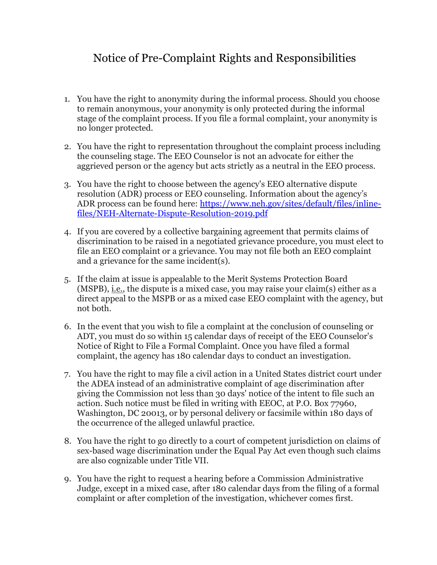## Notice of Pre-Complaint Rights and Responsibilities

- 1. You have the right to anonymity during the informal process. Should you choose to remain anonymous, your anonymity is only protected during the informal stage of the complaint process. If you file a formal complaint, your anonymity is no longer protected.
- 2. You have the right to representation throughout the complaint process including the counseling stage. The EEO Counselor is not an advocate for either the aggrieved person or the agency but acts strictly as a neutral in the EEO process.
- 3. You have the right to choose between the agency's EEO alternative dispute resolution (ADR) process or EEO counseling. Information about the agency's ADR process can be found here: https://www.neh.gov/sites/default/files/inlinefiles/NEH-Alternate-Dispute-Resolution-2019.pdf
- 4. If you are covered by a collective bargaining agreement that permits claims of discrimination to be raised in a negotiated grievance procedure, you must elect to file an EEO complaint or a grievance. You may not file both an EEO complaint and a grievance for the same incident(s).
- 5. If the claim at issue is appealable to the Merit Systems Protection Board  $(MSPB)$ , i.e., the dispute is a mixed case, you may raise your claim(s) either as a direct appeal to the MSPB or as a mixed case EEO complaint with the agency, but not both.
- 6. In the event that you wish to file a complaint at the conclusion of counseling or ADT, you must do so within 15 calendar days of receipt of the EEO Counselor's Notice of Right to File a Formal Complaint. Once you have filed a formal complaint, the agency has 180 calendar days to conduct an investigation.
- 7. You have the right to may file a civil action in a United States district court under the ADEA instead of an administrative complaint of age discrimination after giving the Commission not less than 30 days' notice of the intent to file such an action. Such notice must be filed in writing with EEOC, at P.O. Box 77960, Washington, DC 20013, or by personal delivery or facsimile within 180 days of the occurrence of the alleged unlawful practice.
- 8. You have the right to go directly to a court of competent jurisdiction on claims of sex-based wage discrimination under the Equal Pay Act even though such claims are also cognizable under Title VII.
- 9. You have the right to request a hearing before a Commission Administrative Judge, except in a mixed case, after 180 calendar days from the filing of a formal complaint or after completion of the investigation, whichever comes first.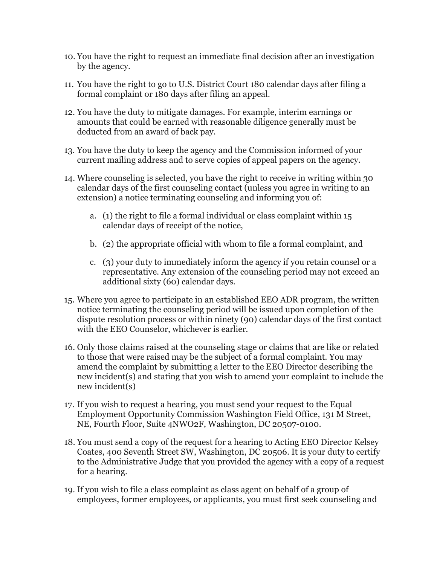- 10. You have the right to request an immediate final decision after an investigation by the agency.
- 11. You have the right to go to U.S. District Court 180 calendar days after filing a formal complaint or 180 days after filing an appeal.
- 12. You have the duty to mitigate damages. For example, interim earnings or amounts that could be earned with reasonable diligence generally must be deducted from an award of back pay.
- 13. You have the duty to keep the agency and the Commission informed of your current mailing address and to serve copies of appeal papers on the agency.
- 14. Where counseling is selected, you have the right to receive in writing within 30 calendar days of the first counseling contact (unless you agree in writing to an extension) a notice terminating counseling and informing you of:
	- a. (1) the right to file a formal individual or class complaint within 15 calendar days of receipt of the notice,
	- b. (2) the appropriate official with whom to file a formal complaint, and
	- c. (3) your duty to immediately inform the agency if you retain counsel or a representative. Any extension of the counseling period may not exceed an additional sixty (60) calendar days.
- 15. Where you agree to participate in an established EEO ADR program, the written notice terminating the counseling period will be issued upon completion of the dispute resolution process or within ninety (90) calendar days of the first contact with the EEO Counselor, whichever is earlier.
- 16. Only those claims raised at the counseling stage or claims that are like or related to those that were raised may be the subject of a formal complaint. You may amend the complaint by submitting a letter to the EEO Director describing the new incident(s) and stating that you wish to amend your complaint to include the new incident(s)
- 17. If you wish to request a hearing, you must send your request to the Equal Employment Opportunity Commission Washington Field Office, 131 M Street, NE, Fourth Floor, Suite 4NWO2F, Washington, DC 20507-0100.
- 18. You must send a copy of the request for a hearing to Acting EEO Director Kelsey Coates, 400 Seventh Street SW, Washington, DC 20506. It is your duty to certify to the Administrative Judge that you provided the agency with a copy of a request for a hearing.
- 19. If you wish to file a class complaint as class agent on behalf of a group of employees, former employees, or applicants, you must first seek counseling and